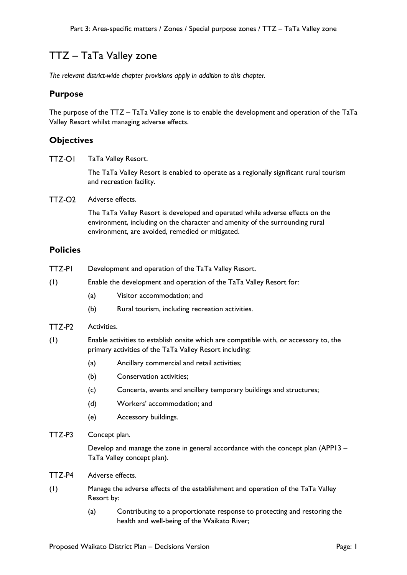# TTZ – TaTa Valley zone

*The relevant district-wide chapter provisions apply in addition to this chapter.*

### **Purpose**

The purpose of the TTZ – TaTa Valley zone is to enable the development and operation of the TaTa Valley Resort whilst managing adverse effects.

# **Objectives**

**TTZ-OI** TaTa Valley Resort.

> The TaTa Valley Resort is enabled to operate as a regionally significant rural tourism and recreation facility.

 $TTZ-O2$ Adverse effects.

> The TaTa Valley Resort is developed and operated while adverse effects on the environment, including on the character and amenity of the surrounding rural environment, are avoided, remedied or mitigated.

#### **Policies**

- TTZ-PI Development and operation of the TaTa Valley Resort.
- (1) Enable the development and operation of the TaTa Valley Resort for:
	- (a) Visitor accommodation; and
	- (b) Rural tourism, including recreation activities.
- TTZ-P2 Activities.
- (1) Enable activities to establish onsite which are compatible with, or accessory to, the primary activities of the TaTa Valley Resort including:
	- (a) Ancillary commercial and retail activities;
	- (b) Conservation activities;
	- (c) Concerts, events and ancillary temporary buildings and structures;
	- (d) Workers' accommodation; and
	- (e) Accessory buildings.
- TTZ-P3 Concept plan.

Develop and manage the zone in general accordance with the concept plan (APP13 – TaTa Valley concept plan).

- TTZ-P4 Adverse effects.
- (1) Manage the adverse effects of the establishment and operation of the TaTa Valley Resort by:
	- (a) Contributing to a proportionate response to protecting and restoring the health and well-being of the Waikato River;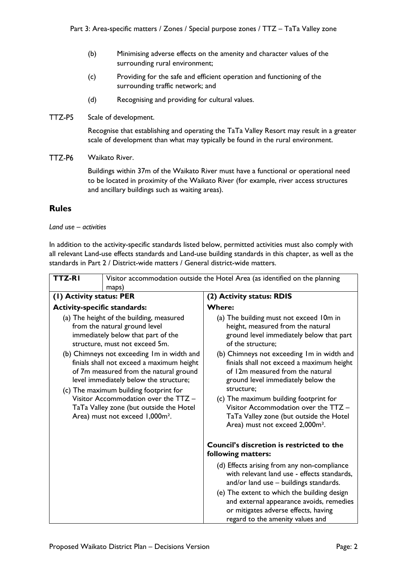- (b) Minimising adverse effects on the amenity and character values of the surrounding rural environment;
- (c) Providing for the safe and efficient operation and functioning of the surrounding traffic network; and
- (d) Recognising and providing for cultural values.
- TTZ-P5 Scale of development.

Recognise that establishing and operating the TaTa Valley Resort may result in a greater scale of development than what may typically be found in the rural environment.

TTZ-P6 Waikato River.

> Buildings within 37m of the Waikato River must have a functional or operational need to be located in proximity of the Waikato River (for example, river access structures and ancillary buildings such as waiting areas).

# **Rules**

#### *Land use – activities*

In addition to the activity-specific standards listed below, permitted activities must also comply with all relevant Land-use effects standards and Land-use building standards in this chapter, as well as the standards in Part 2 / District-wide matters / General district-wide matters.

| TTZ-RI                                                                                                                                                                                                                                                                                                                                                                                                                                                                                                       | Visitor accommodation outside the Hotel Area (as identified on the planning |                                                                                                                                                                                                                                                                                                                                                                                                                                                                                                              |
|--------------------------------------------------------------------------------------------------------------------------------------------------------------------------------------------------------------------------------------------------------------------------------------------------------------------------------------------------------------------------------------------------------------------------------------------------------------------------------------------------------------|-----------------------------------------------------------------------------|--------------------------------------------------------------------------------------------------------------------------------------------------------------------------------------------------------------------------------------------------------------------------------------------------------------------------------------------------------------------------------------------------------------------------------------------------------------------------------------------------------------|
| maps)<br>(1) Activity status: PER                                                                                                                                                                                                                                                                                                                                                                                                                                                                            |                                                                             | (2) Activity status: RDIS                                                                                                                                                                                                                                                                                                                                                                                                                                                                                    |
| <b>Activity-specific standards:</b>                                                                                                                                                                                                                                                                                                                                                                                                                                                                          |                                                                             | <b>Where:</b>                                                                                                                                                                                                                                                                                                                                                                                                                                                                                                |
| (a) The height of the building, measured<br>from the natural ground level<br>immediately below that part of the<br>structure, must not exceed 5m.<br>(b) Chimneys not exceeding Im in width and<br>finials shall not exceed a maximum height<br>of 7m measured from the natural ground<br>level immediately below the structure;<br>(c) The maximum building footprint for<br>Visitor Accommodation over the TTZ -<br>TaTa Valley zone (but outside the Hotel<br>Area) must not exceed 1,000m <sup>2</sup> . |                                                                             | (a) The building must not exceed 10m in<br>height, measured from the natural<br>ground level immediately below that part<br>of the structure;<br>(b) Chimneys not exceeding Im in width and<br>finials shall not exceed a maximum height<br>of 12m measured from the natural<br>ground level immediately below the<br>structure;<br>(c) The maximum building footprint for<br>Visitor Accommodation over the TTZ -<br>TaTa Valley zone (but outside the Hotel<br>Area) must not exceed 2,000m <sup>2</sup> . |
|                                                                                                                                                                                                                                                                                                                                                                                                                                                                                                              |                                                                             | <b>Council's discretion is restricted to the</b><br>following matters:                                                                                                                                                                                                                                                                                                                                                                                                                                       |
|                                                                                                                                                                                                                                                                                                                                                                                                                                                                                                              |                                                                             | (d) Effects arising from any non-compliance<br>with relevant land use - effects standards,<br>and/or land use - buildings standards.                                                                                                                                                                                                                                                                                                                                                                         |
|                                                                                                                                                                                                                                                                                                                                                                                                                                                                                                              |                                                                             | (e) The extent to which the building design<br>and external appearance avoids, remedies<br>or mitigates adverse effects, having<br>regard to the amenity values and                                                                                                                                                                                                                                                                                                                                          |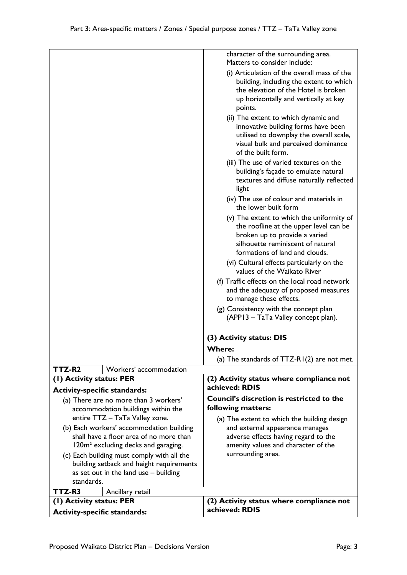|                                                                                            | character of the surrounding area.                                                                                                                                                          |
|--------------------------------------------------------------------------------------------|---------------------------------------------------------------------------------------------------------------------------------------------------------------------------------------------|
|                                                                                            | Matters to consider include:                                                                                                                                                                |
|                                                                                            | (i) Articulation of the overall mass of the<br>building, including the extent to which<br>the elevation of the Hotel is broken<br>up horizontally and vertically at key<br>points.          |
|                                                                                            | (ii) The extent to which dynamic and<br>innovative building forms have been<br>utilised to downplay the overall scale,<br>visual bulk and perceived dominance<br>of the built form.         |
|                                                                                            | (iii) The use of varied textures on the<br>building's façade to emulate natural<br>textures and diffuse naturally reflected<br>light                                                        |
|                                                                                            | (iv) The use of colour and materials in<br>the lower built form                                                                                                                             |
|                                                                                            | (v) The extent to which the uniformity of<br>the roofline at the upper level can be<br>broken up to provide a varied<br>silhouette reminiscent of natural<br>formations of land and clouds. |
|                                                                                            | (vi) Cultural effects particularly on the<br>values of the Waikato River                                                                                                                    |
|                                                                                            | (f) Traffic effects on the local road network<br>and the adequacy of proposed measures<br>to manage these effects.                                                                          |
|                                                                                            | (g) Consistency with the concept plan<br>(APP13 - TaTa Valley concept plan).                                                                                                                |
|                                                                                            | (3) Activity status: DIS                                                                                                                                                                    |
|                                                                                            | <b>Where:</b>                                                                                                                                                                               |
|                                                                                            | (a) The standards of $TTZ-RI(2)$ are not met.                                                                                                                                               |
| TTZ-R2<br>Workers' accommodation                                                           |                                                                                                                                                                                             |
| (1) Activity status: PER                                                                   | (2) Activity status where compliance not<br>achieved: RDIS                                                                                                                                  |
| <b>Activity-specific standards:</b><br>(a) There are no more than 3 workers'               | Council's discretion is restricted to the                                                                                                                                                   |
| accommodation buildings within the                                                         | following matters:                                                                                                                                                                          |
| entire TTZ - TaTa Valley zone.                                                             | (a) The extent to which the building design                                                                                                                                                 |
| (b) Each workers' accommodation building                                                   | and external appearance manages                                                                                                                                                             |
| shall have a floor area of no more than<br>120m <sup>2</sup> excluding decks and garaging. | adverse effects having regard to the<br>amenity values and character of the                                                                                                                 |
| (c) Each building must comply with all the                                                 | surrounding area.                                                                                                                                                                           |
| building setback and height requirements                                                   |                                                                                                                                                                                             |
| as set out in the land use - building                                                      |                                                                                                                                                                                             |
| standards.                                                                                 |                                                                                                                                                                                             |
| TTZ-R3<br>Ancillary retail                                                                 |                                                                                                                                                                                             |
| (1) Activity status: PER                                                                   | (2) Activity status where compliance not                                                                                                                                                    |
| <b>Activity-specific standards:</b>                                                        | achieved: RDIS                                                                                                                                                                              |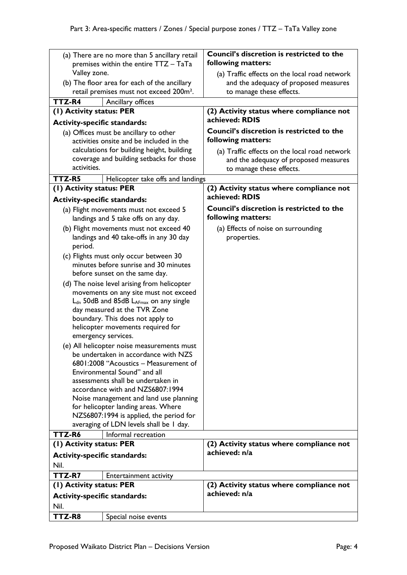| (a) There are no more than 5 ancillary retail<br>premises within the entire TTZ - TaTa                              |                                                                                        | Council's discretion is restricted to the<br>following matters:                                                    |
|---------------------------------------------------------------------------------------------------------------------|----------------------------------------------------------------------------------------|--------------------------------------------------------------------------------------------------------------------|
| Valley zone.<br>(b) The floor area for each of the ancillary<br>retail premises must not exceed 200m <sup>2</sup> . |                                                                                        | (a) Traffic effects on the local road network<br>and the adequacy of proposed measures<br>to manage these effects. |
| TTZ-R4                                                                                                              | Ancillary offices                                                                      |                                                                                                                    |
| (I) Activity status: PER                                                                                            |                                                                                        | (2) Activity status where compliance not                                                                           |
| <b>Activity-specific standards:</b>                                                                                 |                                                                                        | achieved: RDIS                                                                                                     |
|                                                                                                                     | (a) Offices must be ancillary to other<br>activities onsite and be included in the     | Council's discretion is restricted to the<br>following matters:                                                    |
| activities.                                                                                                         | calculations for building height, building<br>coverage and building setbacks for those | (a) Traffic effects on the local road network<br>and the adequacy of proposed measures                             |
|                                                                                                                     |                                                                                        | to manage these effects.                                                                                           |
| TTZ-R5                                                                                                              | Helicopter take offs and landings                                                      |                                                                                                                    |
| (1) Activity status: PER<br><b>Activity-specific standards:</b>                                                     |                                                                                        | (2) Activity status where compliance not<br>achieved: RDIS                                                         |
|                                                                                                                     | (a) Flight movements must not exceed 5<br>landings and 5 take offs on any day.         | <b>Council's discretion is restricted to the</b><br>following matters:                                             |
|                                                                                                                     | (b) Flight movements must not exceed 40                                                | (a) Effects of noise on surrounding                                                                                |
| period.                                                                                                             | landings and 40 take-offs in any 30 day                                                | properties.                                                                                                        |
|                                                                                                                     | (c) Flights must only occur between 30                                                 |                                                                                                                    |
|                                                                                                                     | minutes before sunrise and 30 minutes                                                  |                                                                                                                    |
|                                                                                                                     | before sunset on the same day.                                                         |                                                                                                                    |
| (d) The noise level arising from helicopter                                                                         |                                                                                        |                                                                                                                    |
| movements on any site must not exceed<br>L <sub>dn</sub> 50dB and 85dB LAFmax on any single                         |                                                                                        |                                                                                                                    |
| day measured at the TVR Zone                                                                                        |                                                                                        |                                                                                                                    |
|                                                                                                                     | boundary. This does not apply to                                                       |                                                                                                                    |
| helicopter movements required for<br>emergency services.                                                            |                                                                                        |                                                                                                                    |
| (e) All helicopter noise measurements must                                                                          |                                                                                        |                                                                                                                    |
| be undertaken in accordance with NZS<br>6801:2008 "Acoustics - Measurement of                                       |                                                                                        |                                                                                                                    |
|                                                                                                                     | Environmental Sound" and all                                                           |                                                                                                                    |
|                                                                                                                     | assessments shall be undertaken in                                                     |                                                                                                                    |
|                                                                                                                     | accordance with and NZS6807:1994                                                       |                                                                                                                    |
|                                                                                                                     | Noise management and land use planning<br>for helicopter landing areas. Where          |                                                                                                                    |
|                                                                                                                     | NZS6807:1994 is applied, the period for                                                |                                                                                                                    |
| averaging of LDN levels shall be I day.                                                                             |                                                                                        |                                                                                                                    |
| TTZ-R6                                                                                                              | Informal recreation                                                                    |                                                                                                                    |
| (I) Activity status: PER                                                                                            |                                                                                        | (2) Activity status where compliance not                                                                           |
| <b>Activity-specific standards:</b>                                                                                 |                                                                                        | achieved: n/a                                                                                                      |
| Nil.                                                                                                                |                                                                                        |                                                                                                                    |
| TTZ-R7                                                                                                              | Entertainment activity                                                                 |                                                                                                                    |
| (1) Activity status: PER                                                                                            |                                                                                        | (2) Activity status where compliance not                                                                           |
| <b>Activity-specific standards:</b>                                                                                 |                                                                                        | achieved: n/a                                                                                                      |
| Nil.                                                                                                                |                                                                                        |                                                                                                                    |
| TTZ-R8                                                                                                              | Special noise events                                                                   |                                                                                                                    |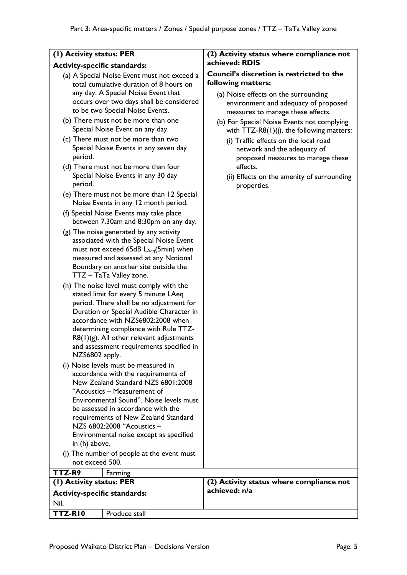#### **(1) Activity status: PER**

#### **Activity-specific standards:**

- (a) A Special Noise Event must not exceed a total cumulative duration of 8 hours on any day. A Special Noise Event that occurs over two days shall be considered to be two Special Noise Events.
- (b) There must not be more than one Special Noise Event on any day.
- (c) There must not be more than two Special Noise Events in any seven day period.
- (d) There must not be more than four Special Noise Events in any 30 day period.
- (e) There must not be more than 12 Special Noise Events in any 12 month period.
- (f) Special Noise Events may take place between 7.30am and 8:30pm on any day.
- (g) The noise generated by any activity associated with the Special Noise Event must not exceed 65dB LAeq(5min) when measured and assessed at any Notional Boundary on another site outside the TTZ – TaTa Valley zone.
- (h) The noise level must comply with the stated limit for every 5 minute LAeq period. There shall be no adjustment for Duration or Special Audible Character in accordance with NZS6802:2008 when determining compliance with Rule TTZ- $R8(1)(g)$ . All other relevant adjustments and assessment requirements specified in NZS6802 apply.
- (i) Noise levels must be measured in accordance with the requirements of New Zealand Standard NZS 6801:2008 "Acoustics – Measurement of Environmental Sound". Noise levels must be assessed in accordance with the requirements of New Zealand Standard NZS 6802:2008 "Acoustics – Environmental noise except as specified in (h) above.
- not exceed 500.

**(1) Activity status: PER Activity-specific standards:** 

**TTZ-R10** Produce stall

Nil.

(j) The number of people at the event must **TTZ-R9** Farming

# environment and adequacy of proposed measures to manage these effects.

**following matters:** 

**achieved: RDIS**

(b) For Special Noise Events not complying with TTZ-R8(1)(j), the following matters:

**(2) Activity status where compliance not** 

**Council's discretion is restricted to the** 

(a) Noise effects on the surrounding

- (i) Traffic effects on the local road network and the adequacy of proposed measures to manage these effects.
- (ii) Effects on the amenity of surrounding properties.

| (2) Activity status where compliance not |  |
|------------------------------------------|--|
| achieved: n/a                            |  |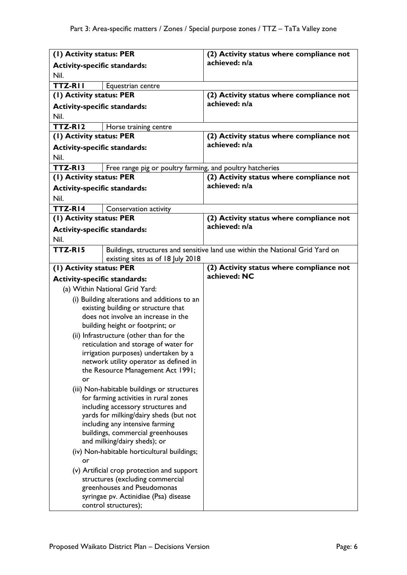| (1) Activity status: PER                                             |                                                                               | (2) Activity status where compliance not                                      |
|----------------------------------------------------------------------|-------------------------------------------------------------------------------|-------------------------------------------------------------------------------|
| <b>Activity-specific standards:</b>                                  |                                                                               | achieved: n/a                                                                 |
| Nil.                                                                 |                                                                               |                                                                               |
| <b>TTZ-RII</b><br>Equestrian centre                                  |                                                                               |                                                                               |
| (1) Activity status: PER                                             |                                                                               | (2) Activity status where compliance not                                      |
| <b>Activity-specific standards:</b>                                  |                                                                               | achieved: n/a                                                                 |
| Nil.                                                                 |                                                                               |                                                                               |
| TTZ-RI2                                                              | Horse training centre                                                         |                                                                               |
| (1) Activity status: PER                                             |                                                                               | (2) Activity status where compliance not                                      |
| <b>Activity-specific standards:</b>                                  |                                                                               | achieved: n/a                                                                 |
| Nil.                                                                 |                                                                               |                                                                               |
| TTZ-RI3                                                              | Free range pig or poultry farming, and poultry hatcheries                     |                                                                               |
| (1) Activity status: PER                                             |                                                                               | (2) Activity status where compliance not                                      |
| <b>Activity-specific standards:</b>                                  |                                                                               | achieved: n/a                                                                 |
| Nil.                                                                 |                                                                               |                                                                               |
| TTZ-RI4                                                              | Conservation activity                                                         |                                                                               |
| (1) Activity status: PER                                             |                                                                               | (2) Activity status where compliance not                                      |
| <b>Activity-specific standards:</b>                                  |                                                                               | achieved: n/a                                                                 |
| Nil.                                                                 |                                                                               |                                                                               |
| TTZ-RI5                                                              |                                                                               | Buildings, structures and sensitive land use within the National Grid Yard on |
|                                                                      | existing sites as of 18 July 2018                                             |                                                                               |
| (1) Activity status: PER                                             |                                                                               | (2) Activity status where compliance not                                      |
| <b>Activity-specific standards:</b>                                  |                                                                               | achieved: NC                                                                  |
|                                                                      | (a) Within National Grid Yard:                                                |                                                                               |
|                                                                      | (i) Building alterations and additions to an                                  |                                                                               |
| existing building or structure that                                  |                                                                               |                                                                               |
|                                                                      | does not involve an increase in the                                           |                                                                               |
|                                                                      | building height or footprint; or                                              |                                                                               |
|                                                                      | (ii) Infrastructure (other than for the                                       |                                                                               |
|                                                                      | reticulation and storage of water for<br>irrigation purposes) undertaken by a |                                                                               |
|                                                                      | network utility operator as defined in                                        |                                                                               |
|                                                                      | the Resource Management Act 1991;                                             |                                                                               |
| or                                                                   |                                                                               |                                                                               |
|                                                                      | (iii) Non-habitable buildings or structures                                   |                                                                               |
|                                                                      | for farming activities in rural zones                                         |                                                                               |
|                                                                      | including accessory structures and                                            |                                                                               |
| yards for milking/dairy sheds (but not                               |                                                                               |                                                                               |
| including any intensive farming<br>buildings, commercial greenhouses |                                                                               |                                                                               |
| and milking/dairy sheds); or                                         |                                                                               |                                                                               |
| (iv) Non-habitable horticultural buildings;                          |                                                                               |                                                                               |
| or                                                                   |                                                                               |                                                                               |
|                                                                      | (v) Artificial crop protection and support                                    |                                                                               |
|                                                                      | structures (excluding commercial                                              |                                                                               |
|                                                                      | greenhouses and Pseudomonas                                                   |                                                                               |
| syringae pv. Actinidiae (Psa) disease<br>control structures);        |                                                                               |                                                                               |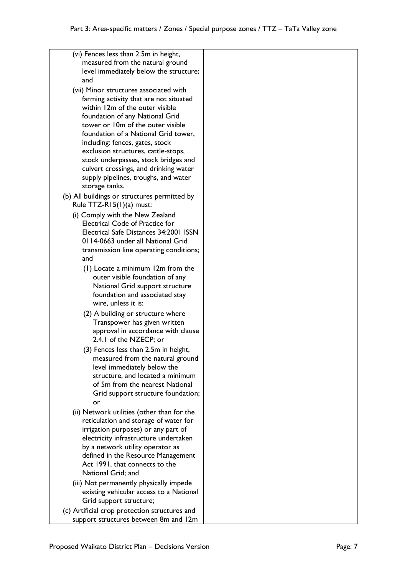| (vi) Fences less than 2.5m in height,<br>measured from the natural ground                |  |
|------------------------------------------------------------------------------------------|--|
| level immediately below the structure;<br>and                                            |  |
| (vii) Minor structures associated with<br>farming activity that are not situated         |  |
| within 12m of the outer visible                                                          |  |
| foundation of any National Grid                                                          |  |
| tower or 10m of the outer visible<br>foundation of a National Grid tower,                |  |
| including: fences, gates, stock                                                          |  |
| exclusion structures, cattle-stops,<br>stock underpasses, stock bridges and              |  |
| culvert crossings, and drinking water                                                    |  |
| supply pipelines, troughs, and water                                                     |  |
| storage tanks.                                                                           |  |
| (b) All buildings or structures permitted by<br>Rule TTZ-R15(1)(a) must:                 |  |
| (i) Comply with the New Zealand                                                          |  |
| <b>Electrical Code of Practice for</b><br>Electrical Safe Distances 34:2001 ISSN         |  |
| 0114-0663 under all National Grid                                                        |  |
| transmission line operating conditions;                                                  |  |
| and<br>(1) Locate a minimum 12m from the                                                 |  |
| outer visible foundation of any                                                          |  |
| National Grid support structure<br>foundation and associated stay<br>wire, unless it is: |  |
| (2) A building or structure where                                                        |  |
| Transpower has given written                                                             |  |
| approval in accordance with clause<br>2.4.1 of the NZECP; or                             |  |
| (3) Fences less than 2.5m in height,<br>measured from the natural ground                 |  |
| level immediately below the                                                              |  |
| structure, and located a minimum                                                         |  |
| of 5m from the nearest National<br>Grid support structure foundation;                    |  |
| or                                                                                       |  |
| (ii) Network utilities (other than for the<br>reticulation and storage of water for      |  |
| irrigation purposes) or any part of                                                      |  |
| electricity infrastructure undertaken                                                    |  |
| by a network utility operator as<br>defined in the Resource Management                   |  |
| Act 1991, that connects to the                                                           |  |
| National Grid; and                                                                       |  |
| (iii) Not permanently physically impede<br>existing vehicular access to a National       |  |
| Grid support structure;                                                                  |  |
| (c) Artificial crop protection structures and                                            |  |

support structures between 8m and 12m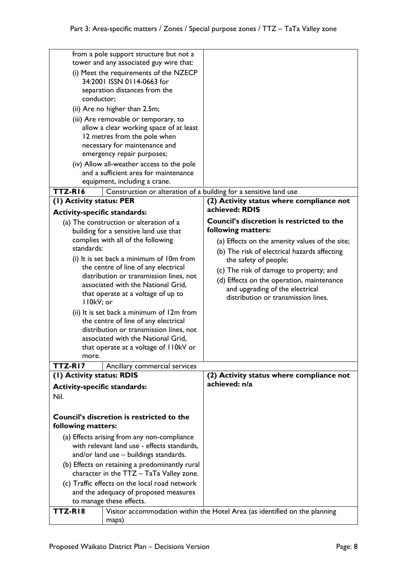| TTZ-RI8                                        | maps)                                                                           | Visitor accommodation within the Hotel Area (as identified on the planning |
|------------------------------------------------|---------------------------------------------------------------------------------|----------------------------------------------------------------------------|
| to manage these effects.                       |                                                                                 |                                                                            |
| and the adequacy of proposed measures          |                                                                                 |                                                                            |
| (c) Traffic effects on the local road network  |                                                                                 |                                                                            |
| character in the TTZ - TaTa Valley zone.       |                                                                                 |                                                                            |
| (b) Effects on retaining a predominantly rural |                                                                                 |                                                                            |
| and/or land use - buildings standards.         |                                                                                 |                                                                            |
| with relevant land use - effects standards,    |                                                                                 |                                                                            |
| (a) Effects arising from any non-compliance    |                                                                                 |                                                                            |
| following matters:                             |                                                                                 |                                                                            |
|                                                | Council's discretion is restricted to the                                       |                                                                            |
|                                                |                                                                                 |                                                                            |
| Nil.                                           |                                                                                 |                                                                            |
| <b>Activity-specific standards:</b>            |                                                                                 | achieved: n/a                                                              |
| (1) Activity status: RDIS                      |                                                                                 | (2) Activity status where compliance not                                   |
| TTZ-RI7                                        | Ancillary commercial services                                                   |                                                                            |
| more.                                          | that operate at a voltage of II0kV or                                           |                                                                            |
|                                                | associated with the National Grid,                                              |                                                                            |
|                                                | distribution or transmission lines, not                                         |                                                                            |
|                                                | the centre of line of any electrical                                            |                                                                            |
|                                                | (ii) It is set back a minimum of 12m from                                       |                                                                            |
| II0kV; or                                      |                                                                                 | distribution or transmission lines.                                        |
|                                                | that operate at a voltage of up to                                              | and upgrading of the electrical                                            |
|                                                | associated with the National Grid,                                              | (d) Effects on the operation, maintenance                                  |
|                                                | the centre of line of any electrical<br>distribution or transmission lines, not | (c) The risk of damage to property; and                                    |
|                                                | (i) It is set back a minimum of 10m from                                        | the safety of people;                                                      |
| standards:                                     |                                                                                 | (b) The risk of electrical hazards affecting                               |
|                                                | complies with all of the following                                              | (a) Effects on the amenity values of the site;                             |
|                                                | building for a sensitive land use that                                          | following matters:                                                         |
|                                                | (a) The construction or alteration of a                                         | <b>Council's discretion is restricted to the</b>                           |
| <b>Activity-specific standards:</b>            |                                                                                 | achieved: RDIS                                                             |
| (1) Activity status: PER                       |                                                                                 | (2) Activity status where compliance not                                   |
| TTZ-RI6                                        | Construction or alteration of a building for a sensitive land use               |                                                                            |
|                                                | equipment, including a crane.                                                   |                                                                            |
|                                                | and a sufficient area for maintenance                                           |                                                                            |
|                                                | (iv) Allow all-weather access to the pole                                       |                                                                            |
|                                                | emergency repair purposes;                                                      |                                                                            |
|                                                | 12 metres from the pole when<br>necessary for maintenance and                   |                                                                            |
|                                                | allow a clear working space of at least                                         |                                                                            |
|                                                | (iii) Are removable or temporary, to                                            |                                                                            |
|                                                | (ii) Are no higher than 2.5m;                                                   |                                                                            |
| conductor;                                     |                                                                                 |                                                                            |
| separation distances from the                  |                                                                                 |                                                                            |
| 34:2001 ISSN 0114-0663 for                     |                                                                                 |                                                                            |
|                                                | (i) Meet the requirements of the NZECP                                          |                                                                            |
|                                                | tower and any associated guy wire that:                                         |                                                                            |
|                                                | from a pole support structure but not a                                         |                                                                            |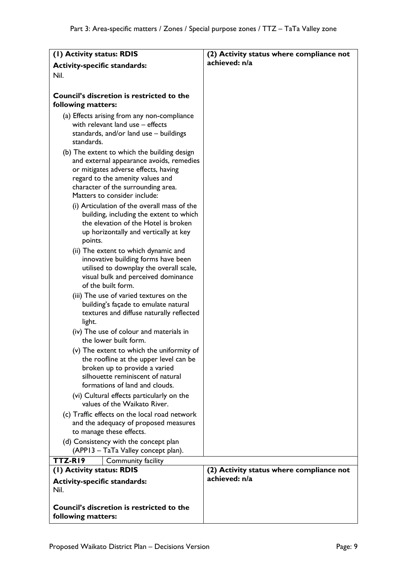| (I) Activity status: RDIS                                                                                                                                                                                                                 | (2) Activity status where compliance not |
|-------------------------------------------------------------------------------------------------------------------------------------------------------------------------------------------------------------------------------------------|------------------------------------------|
| <b>Activity-specific standards:</b>                                                                                                                                                                                                       | achieved: n/a                            |
| Nil.                                                                                                                                                                                                                                      |                                          |
|                                                                                                                                                                                                                                           |                                          |
| Council's discretion is restricted to the<br>following matters:                                                                                                                                                                           |                                          |
| (a) Effects arising from any non-compliance<br>with relevant land use - effects<br>standards, and/or land use - buildings<br>standards.                                                                                                   |                                          |
| (b) The extent to which the building design<br>and external appearance avoids, remedies<br>or mitigates adverse effects, having<br>regard to the amenity values and<br>character of the surrounding area.<br>Matters to consider include: |                                          |
| (i) Articulation of the overall mass of the<br>building, including the extent to which<br>the elevation of the Hotel is broken<br>up horizontally and vertically at key<br>points.                                                        |                                          |
| (ii) The extent to which dynamic and<br>innovative building forms have been<br>utilised to downplay the overall scale,<br>visual bulk and perceived dominance<br>of the built form.                                                       |                                          |
| (iii) The use of varied textures on the<br>building's façade to emulate natural<br>textures and diffuse naturally reflected<br>light.                                                                                                     |                                          |
| (iv) The use of colour and materials in<br>the lower built form.                                                                                                                                                                          |                                          |
| (v) The extent to which the uniformity of<br>the roofline at the upper level can be<br>broken up to provide a varied<br>silhouette reminiscent of natural<br>formations of land and clouds.                                               |                                          |
| (vi) Cultural effects particularly on the<br>values of the Waikato River.                                                                                                                                                                 |                                          |
| (c) Traffic effects on the local road network<br>and the adequacy of proposed measures<br>to manage these effects.                                                                                                                        |                                          |
| (d) Consistency with the concept plan<br>(APP13 – TaTa Valley concept plan).                                                                                                                                                              |                                          |
| TTZ-RI9<br>Community facility                                                                                                                                                                                                             |                                          |
| (I) Activity status: RDIS                                                                                                                                                                                                                 | (2) Activity status where compliance not |
| <b>Activity-specific standards:</b><br>Nil.                                                                                                                                                                                               | achieved: n/a                            |
| <b>Council's discretion is restricted to the</b><br>following matters:                                                                                                                                                                    |                                          |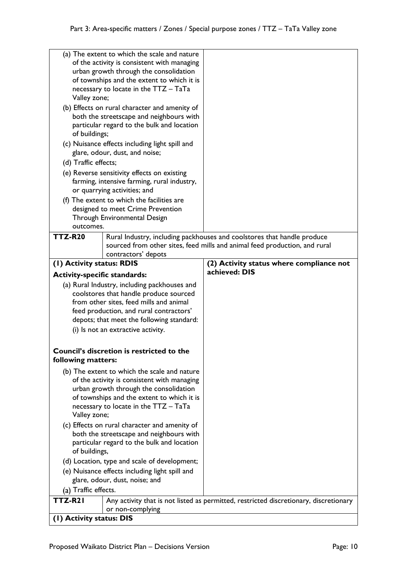| (a) The extent to which the scale and nature<br>of the activity is consistent with managing<br>urban growth through the consolidation<br>of townships and the extent to which it is<br>necessary to locate in the TTZ - TaTa<br>Valley zone;<br>(b) Effects on rural character and amenity of<br>both the streetscape and neighbours with<br>particular regard to the bulk and location<br>of buildings;<br>(c) Nuisance effects including light spill and<br>glare, odour, dust, and noise;<br>(d) Traffic effects;<br>(e) Reverse sensitivity effects on existing<br>farming, intensive farming, rural industry,<br>or quarrying activities; and |                                              |                                                                                       |
|----------------------------------------------------------------------------------------------------------------------------------------------------------------------------------------------------------------------------------------------------------------------------------------------------------------------------------------------------------------------------------------------------------------------------------------------------------------------------------------------------------------------------------------------------------------------------------------------------------------------------------------------------|----------------------------------------------|---------------------------------------------------------------------------------------|
|                                                                                                                                                                                                                                                                                                                                                                                                                                                                                                                                                                                                                                                    | (f) The extent to which the facilities are   |                                                                                       |
|                                                                                                                                                                                                                                                                                                                                                                                                                                                                                                                                                                                                                                                    | designed to meet Crime Prevention            |                                                                                       |
|                                                                                                                                                                                                                                                                                                                                                                                                                                                                                                                                                                                                                                                    | Through Environmental Design                 |                                                                                       |
| outcomes.                                                                                                                                                                                                                                                                                                                                                                                                                                                                                                                                                                                                                                          |                                              |                                                                                       |
| <b>TTZ-R20</b>                                                                                                                                                                                                                                                                                                                                                                                                                                                                                                                                                                                                                                     |                                              | Rural Industry, including packhouses and coolstores that handle produce               |
|                                                                                                                                                                                                                                                                                                                                                                                                                                                                                                                                                                                                                                                    |                                              | sourced from other sites, feed mills and animal feed production, and rural            |
|                                                                                                                                                                                                                                                                                                                                                                                                                                                                                                                                                                                                                                                    | contractors' depots                          |                                                                                       |
|                                                                                                                                                                                                                                                                                                                                                                                                                                                                                                                                                                                                                                                    |                                              |                                                                                       |
| (1) Activity status: RDIS                                                                                                                                                                                                                                                                                                                                                                                                                                                                                                                                                                                                                          |                                              | (2) Activity status where compliance not                                              |
| <b>Activity-specific standards:</b>                                                                                                                                                                                                                                                                                                                                                                                                                                                                                                                                                                                                                |                                              | achieved: DIS                                                                         |
|                                                                                                                                                                                                                                                                                                                                                                                                                                                                                                                                                                                                                                                    | (a) Rural Industry, including packhouses and |                                                                                       |
|                                                                                                                                                                                                                                                                                                                                                                                                                                                                                                                                                                                                                                                    | coolstores that handle produce sourced       |                                                                                       |
|                                                                                                                                                                                                                                                                                                                                                                                                                                                                                                                                                                                                                                                    | from other sites, feed mills and animal      |                                                                                       |
| feed production, and rural contractors'                                                                                                                                                                                                                                                                                                                                                                                                                                                                                                                                                                                                            |                                              |                                                                                       |
|                                                                                                                                                                                                                                                                                                                                                                                                                                                                                                                                                                                                                                                    | depots; that meet the following standard:    |                                                                                       |
|                                                                                                                                                                                                                                                                                                                                                                                                                                                                                                                                                                                                                                                    |                                              |                                                                                       |
| (i) Is not an extractive activity.                                                                                                                                                                                                                                                                                                                                                                                                                                                                                                                                                                                                                 |                                              |                                                                                       |
| Council's discretion is restricted to the<br>following matters:                                                                                                                                                                                                                                                                                                                                                                                                                                                                                                                                                                                    |                                              |                                                                                       |
| (b) The extent to which the scale and nature<br>of the activity is consistent with managing<br>urban growth through the consolidation<br>of townships and the extent to which it is<br>necessary to locate in the TTZ - TaTa<br>Valley zone;                                                                                                                                                                                                                                                                                                                                                                                                       |                                              |                                                                                       |
| (c) Effects on rural character and amenity of                                                                                                                                                                                                                                                                                                                                                                                                                                                                                                                                                                                                      |                                              |                                                                                       |
| both the streetscape and neighbours with                                                                                                                                                                                                                                                                                                                                                                                                                                                                                                                                                                                                           |                                              |                                                                                       |
| particular regard to the bulk and location                                                                                                                                                                                                                                                                                                                                                                                                                                                                                                                                                                                                         |                                              |                                                                                       |
| of buildings,                                                                                                                                                                                                                                                                                                                                                                                                                                                                                                                                                                                                                                      |                                              |                                                                                       |
| (d) Location, type and scale of development;                                                                                                                                                                                                                                                                                                                                                                                                                                                                                                                                                                                                       |                                              |                                                                                       |
|                                                                                                                                                                                                                                                                                                                                                                                                                                                                                                                                                                                                                                                    |                                              |                                                                                       |
| (e) Nuisance effects including light spill and<br>glare, odour, dust, noise; and                                                                                                                                                                                                                                                                                                                                                                                                                                                                                                                                                                   |                                              |                                                                                       |
| (a) Traffic effects.                                                                                                                                                                                                                                                                                                                                                                                                                                                                                                                                                                                                                               |                                              |                                                                                       |
| TTZ-R21                                                                                                                                                                                                                                                                                                                                                                                                                                                                                                                                                                                                                                            |                                              | Any activity that is not listed as permitted, restricted discretionary, discretionary |
|                                                                                                                                                                                                                                                                                                                                                                                                                                                                                                                                                                                                                                                    | or non-complying                             |                                                                                       |
| (1) Activity status: DIS                                                                                                                                                                                                                                                                                                                                                                                                                                                                                                                                                                                                                           |                                              |                                                                                       |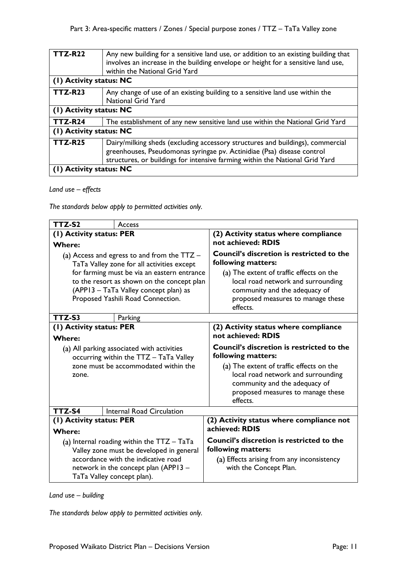| <b>TTZ-R22</b>          | Any new building for a sensitive land use, or addition to an existing building that |  |
|-------------------------|-------------------------------------------------------------------------------------|--|
|                         | involves an increase in the building envelope or height for a sensitive land use,   |  |
|                         |                                                                                     |  |
|                         | within the National Grid Yard                                                       |  |
| (1) Activity status: NC |                                                                                     |  |
| <b>TTZ-R23</b>          | Any change of use of an existing building to a sensitive land use within the        |  |
|                         | <b>National Grid Yard</b>                                                           |  |
|                         |                                                                                     |  |
| (1) Activity status: NC |                                                                                     |  |
| <b>TTZ-R24</b>          | The establishment of any new sensitive land use within the National Grid Yard       |  |
| (1) Activity status: NC |                                                                                     |  |
| <b>TTZ-R25</b>          | Dairy/milking sheds (excluding accessory structures and buildings), commercial      |  |
|                         | greenhouses, Pseudomonas syringae pv. Actinidiae (Psa) disease control              |  |
|                         |                                                                                     |  |
|                         | structures, or buildings for intensive farming within the National Grid Yard        |  |
| (1) Activity status: NC |                                                                                     |  |
|                         |                                                                                     |  |

# *Land use – effects*

*The standards below apply to permitted activities only.*

| TTZ-S2                                                                                      | Access                                      |                                                                                                                                                                  |
|---------------------------------------------------------------------------------------------|---------------------------------------------|------------------------------------------------------------------------------------------------------------------------------------------------------------------|
| (1) Activity status: PER                                                                    |                                             | (2) Activity status where compliance                                                                                                                             |
| <b>Where:</b>                                                                               |                                             | not achieved: RDIS                                                                                                                                               |
| (a) Access and egress to and from the $TTZ -$<br>TaTa Valley zone for all activities except |                                             | <b>Council's discretion is restricted to the</b><br>following matters:                                                                                           |
|                                                                                             | for farming must be via an eastern entrance | (a) The extent of traffic effects on the                                                                                                                         |
|                                                                                             | to the resort as shown on the concept plan  | local road network and surrounding                                                                                                                               |
|                                                                                             | (APP13 - TaTa Valley concept plan) as       | community and the adequacy of                                                                                                                                    |
|                                                                                             | Proposed Yashili Road Connection.           | proposed measures to manage these<br>effects.                                                                                                                    |
| TTZ-S3                                                                                      | Parking                                     |                                                                                                                                                                  |
| (1) Activity status: PER                                                                    |                                             | (2) Activity status where compliance<br>not achieved: RDIS                                                                                                       |
| <b>Where:</b>                                                                               |                                             | <b>Council's discretion is restricted to the</b>                                                                                                                 |
| (a) All parking associated with activities<br>occurring within the TTZ - TaTa Valley        |                                             | following matters:                                                                                                                                               |
| zone must be accommodated within the<br>zone.                                               |                                             | (a) The extent of traffic effects on the<br>local road network and surrounding<br>community and the adequacy of<br>proposed measures to manage these<br>effects. |
| TTZ-S4                                                                                      | <b>Internal Road Circulation</b>            |                                                                                                                                                                  |
| (1) Activity status: PER<br><b>Where:</b>                                                   |                                             | (2) Activity status where compliance not<br>achieved: RDIS                                                                                                       |
| (a) Internal roading within the $TTZ - TaTa$                                                |                                             | <b>Council's discretion is restricted to the</b><br>following matters:                                                                                           |
| Valley zone must be developed in general<br>accordance with the indicative road             |                                             | (a) Effects arising from any inconsistency                                                                                                                       |
| network in the concept plan (APP13 -                                                        |                                             | with the Concept Plan.                                                                                                                                           |
| TaTa Valley concept plan).                                                                  |                                             |                                                                                                                                                                  |

*Land use – building*

*The standards below apply to permitted activities only.*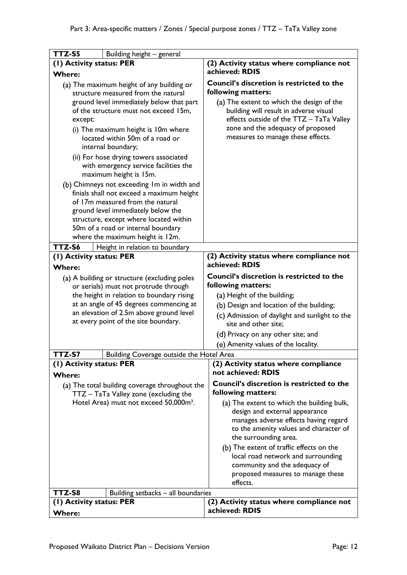| TTZ-S5<br>Building height - general                                                                                                                                                                                                                                                                                                                                                                                                                                                      |                                                                                         |                                                                                                                                                                                                                                                                              |
|------------------------------------------------------------------------------------------------------------------------------------------------------------------------------------------------------------------------------------------------------------------------------------------------------------------------------------------------------------------------------------------------------------------------------------------------------------------------------------------|-----------------------------------------------------------------------------------------|------------------------------------------------------------------------------------------------------------------------------------------------------------------------------------------------------------------------------------------------------------------------------|
| (I) Activity status: PER                                                                                                                                                                                                                                                                                                                                                                                                                                                                 |                                                                                         | (2) Activity status where compliance not                                                                                                                                                                                                                                     |
| <b>Where:</b>                                                                                                                                                                                                                                                                                                                                                                                                                                                                            |                                                                                         | achieved: RDIS                                                                                                                                                                                                                                                               |
| (a) The maximum height of any building or<br>structure measured from the natural<br>ground level immediately below that part<br>of the structure must not exceed 15m,<br>except:<br>(i) The maximum height is 10m where<br>located within 50m of a road or<br>internal boundary;<br>(ii) For hose drying towers associated<br>with emergency service facilities the<br>maximum height is 15m.<br>(b) Chimneys not exceeding Im in width and<br>finials shall not exceed a maximum height |                                                                                         | Council's discretion is restricted to the<br>following matters:<br>(a) The extent to which the design of the<br>building will result in adverse visual<br>effects outside of the TTZ - TaTa Valley<br>zone and the adequacy of proposed<br>measures to manage these effects. |
|                                                                                                                                                                                                                                                                                                                                                                                                                                                                                          | of 17m measured from the natural                                                        |                                                                                                                                                                                                                                                                              |
|                                                                                                                                                                                                                                                                                                                                                                                                                                                                                          | ground level immediately below the                                                      |                                                                                                                                                                                                                                                                              |
|                                                                                                                                                                                                                                                                                                                                                                                                                                                                                          | structure, except where located within<br>50m of a road or internal boundary            |                                                                                                                                                                                                                                                                              |
|                                                                                                                                                                                                                                                                                                                                                                                                                                                                                          | where the maximum height is 12m.                                                        |                                                                                                                                                                                                                                                                              |
| TTZ-S6<br>Height in relation to boundary                                                                                                                                                                                                                                                                                                                                                                                                                                                 |                                                                                         |                                                                                                                                                                                                                                                                              |
| (1) Activity status: PER<br><b>Where:</b>                                                                                                                                                                                                                                                                                                                                                                                                                                                |                                                                                         | (2) Activity status where compliance not<br>achieved: RDIS                                                                                                                                                                                                                   |
|                                                                                                                                                                                                                                                                                                                                                                                                                                                                                          | (a) A building or structure (excluding poles                                            | <b>Council's discretion is restricted to the</b>                                                                                                                                                                                                                             |
|                                                                                                                                                                                                                                                                                                                                                                                                                                                                                          | or aerials) must not protrude through                                                   | following matters:                                                                                                                                                                                                                                                           |
|                                                                                                                                                                                                                                                                                                                                                                                                                                                                                          | the height in relation to boundary rising                                               | (a) Height of the building;                                                                                                                                                                                                                                                  |
|                                                                                                                                                                                                                                                                                                                                                                                                                                                                                          | at an angle of 45 degrees commencing at                                                 | (b) Design and location of the building;                                                                                                                                                                                                                                     |
|                                                                                                                                                                                                                                                                                                                                                                                                                                                                                          | an elevation of 2.5m above ground level<br>at every point of the site boundary.         | (c) Admission of daylight and sunlight to the<br>site and other site;                                                                                                                                                                                                        |
|                                                                                                                                                                                                                                                                                                                                                                                                                                                                                          |                                                                                         | (d) Privacy on any other site; and                                                                                                                                                                                                                                           |
|                                                                                                                                                                                                                                                                                                                                                                                                                                                                                          |                                                                                         | (e) Amenity values of the locality.                                                                                                                                                                                                                                          |
| TTZ-S7                                                                                                                                                                                                                                                                                                                                                                                                                                                                                   | Building Coverage outside the Hotel Area                                                |                                                                                                                                                                                                                                                                              |
| (1) Activity status: PER<br><b>Where:</b>                                                                                                                                                                                                                                                                                                                                                                                                                                                |                                                                                         | (2) Activity status where compliance<br>not achieved: RDIS                                                                                                                                                                                                                   |
|                                                                                                                                                                                                                                                                                                                                                                                                                                                                                          | (a) The total building coverage throughout the<br>TTZ - TaTa Valley zone (excluding the | Council's discretion is restricted to the<br>following matters:                                                                                                                                                                                                              |
| Hotel Area) must not exceed 50,000m <sup>2</sup> .                                                                                                                                                                                                                                                                                                                                                                                                                                       |                                                                                         | (a) The extent to which the building bulk,<br>design and external appearance<br>manages adverse effects having regard<br>to the amenity values and character of<br>the surrounding area.                                                                                     |
|                                                                                                                                                                                                                                                                                                                                                                                                                                                                                          |                                                                                         | (b) The extent of traffic effects on the<br>local road network and surrounding<br>community and the adequacy of<br>proposed measures to manage these<br>effects.                                                                                                             |
| TTZ-S8<br>Building setbacks - all boundaries                                                                                                                                                                                                                                                                                                                                                                                                                                             |                                                                                         |                                                                                                                                                                                                                                                                              |
| (I) Activity status: PER                                                                                                                                                                                                                                                                                                                                                                                                                                                                 |                                                                                         | (2) Activity status where compliance not                                                                                                                                                                                                                                     |
| <b>Where:</b>                                                                                                                                                                                                                                                                                                                                                                                                                                                                            |                                                                                         | achieved: RDIS                                                                                                                                                                                                                                                               |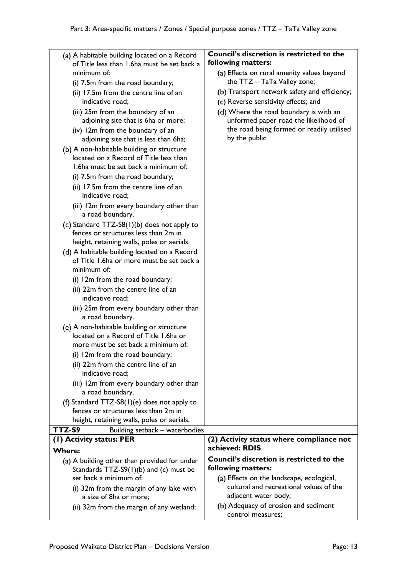| (a) A habitable building located on a Record<br>of Title less than 1.6ha must be set back a<br>minimum of:<br>(i) 7.5m from the road boundary;<br>(ii) 17.5m from the centre line of an<br>indicative road;<br>(iii) 25m from the boundary of an<br>adjoining site that is 6ha or more;<br>(iv) 12m from the boundary of an<br>adjoining site that is less than 6ha;<br>(b) A non-habitable building or structure<br>located on a Record of Title less than<br>1.6ha must be set back a minimum of:<br>(i) 7.5m from the road boundary;<br>(ii) 17.5m from the centre line of an<br>indicative road:<br>(iii) 12m from every boundary other than<br>a road boundary.<br>(c) Standard TTZ-S8(1)(b) does not apply to<br>fences or structures less than 2m in<br>height, retaining walls, poles or aerials.<br>(d) A habitable building located on a Record<br>of Title 1.6ha or more must be set back a<br>minimum of: | Council's discretion is restricted to the<br>following matters:<br>(a) Effects on rural amenity values beyond<br>the TTZ - TaTa Valley zone;<br>(b) Transport network safety and efficiency;<br>(c) Reverse sensitivity effects; and<br>(d) Where the road boundary is with an<br>unformed paper road the likelihood of<br>the road being formed or readily utilised<br>by the public. |
|-----------------------------------------------------------------------------------------------------------------------------------------------------------------------------------------------------------------------------------------------------------------------------------------------------------------------------------------------------------------------------------------------------------------------------------------------------------------------------------------------------------------------------------------------------------------------------------------------------------------------------------------------------------------------------------------------------------------------------------------------------------------------------------------------------------------------------------------------------------------------------------------------------------------------|----------------------------------------------------------------------------------------------------------------------------------------------------------------------------------------------------------------------------------------------------------------------------------------------------------------------------------------------------------------------------------------|
| (i) 12m from the road boundary;<br>(ii) 22m from the centre line of an<br>indicative road;                                                                                                                                                                                                                                                                                                                                                                                                                                                                                                                                                                                                                                                                                                                                                                                                                            |                                                                                                                                                                                                                                                                                                                                                                                        |
| (iii) 25m from every boundary other than<br>a road boundary.                                                                                                                                                                                                                                                                                                                                                                                                                                                                                                                                                                                                                                                                                                                                                                                                                                                          |                                                                                                                                                                                                                                                                                                                                                                                        |
| (e) A non-habitable building or structure<br>located on a Record of Title 1.6ha or<br>more must be set back a minimum of:<br>(i) 12m from the road boundary;                                                                                                                                                                                                                                                                                                                                                                                                                                                                                                                                                                                                                                                                                                                                                          |                                                                                                                                                                                                                                                                                                                                                                                        |
| (ii) 22m from the centre line of an<br>indicative road;                                                                                                                                                                                                                                                                                                                                                                                                                                                                                                                                                                                                                                                                                                                                                                                                                                                               |                                                                                                                                                                                                                                                                                                                                                                                        |
| (iii) 12m from every boundary other than<br>a road boundary.                                                                                                                                                                                                                                                                                                                                                                                                                                                                                                                                                                                                                                                                                                                                                                                                                                                          |                                                                                                                                                                                                                                                                                                                                                                                        |
| (f) Standard TTZ-S8 $(1)(e)$ does not apply to<br>fences or structures less than 2m in<br>height, retaining walls, poles or aerials.                                                                                                                                                                                                                                                                                                                                                                                                                                                                                                                                                                                                                                                                                                                                                                                  |                                                                                                                                                                                                                                                                                                                                                                                        |
| TTZ-S9<br>Building setback – waterbodies                                                                                                                                                                                                                                                                                                                                                                                                                                                                                                                                                                                                                                                                                                                                                                                                                                                                              |                                                                                                                                                                                                                                                                                                                                                                                        |
| (I) Activity status: PER                                                                                                                                                                                                                                                                                                                                                                                                                                                                                                                                                                                                                                                                                                                                                                                                                                                                                              | (2) Activity status where compliance not                                                                                                                                                                                                                                                                                                                                               |
| Where:                                                                                                                                                                                                                                                                                                                                                                                                                                                                                                                                                                                                                                                                                                                                                                                                                                                                                                                | achieved: RDIS                                                                                                                                                                                                                                                                                                                                                                         |
| (a) A building other than provided for under<br>Standards $TTZ-S9(1)(b)$ and (c) must be                                                                                                                                                                                                                                                                                                                                                                                                                                                                                                                                                                                                                                                                                                                                                                                                                              | Council's discretion is restricted to the<br>following matters:                                                                                                                                                                                                                                                                                                                        |
| set back a minimum of:<br>(i) 32m from the margin of any lake with<br>a size of 8ha or more;                                                                                                                                                                                                                                                                                                                                                                                                                                                                                                                                                                                                                                                                                                                                                                                                                          | (a) Effects on the landscape, ecological,<br>cultural and recreational values of the<br>adjacent water body;                                                                                                                                                                                                                                                                           |
| (ii) 32m from the margin of any wetland;                                                                                                                                                                                                                                                                                                                                                                                                                                                                                                                                                                                                                                                                                                                                                                                                                                                                              | (b) Adequacy of erosion and sediment<br>control measures;                                                                                                                                                                                                                                                                                                                              |